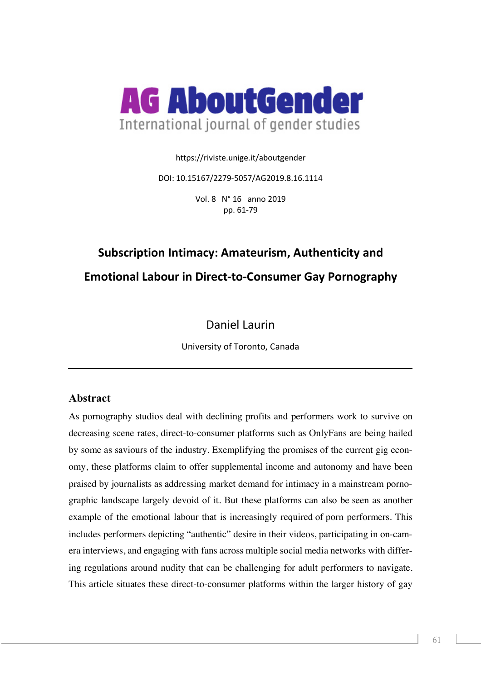

https://riviste.unige.it/aboutgender

DOI: 10.15167/2279-5057/AG2019.8.16.1114

Vol. 8 N° 16 anno 2019 pp. 61-79

# **Subscription Intimacy: Amateurism, Authenticity and Emotional Labour in Direct-to-Consumer Gay Pornography**

Daniel Laurin

University of Toronto, Canada

# **Abstract**

As pornography studios deal with declining profits and performers work to survive on decreasing scene rates, direct-to-consumer platforms such as OnlyFans are being hailed by some as saviours of the industry. Exemplifying the promises of the current gig economy, these platforms claim to offer supplemental income and autonomy and have been praised by journalists as addressing market demand for intimacy in a mainstream pornographic landscape largely devoid of it. But these platforms can also be seen as another example of the emotional labour that is increasingly required of porn performers. This includes performers depicting "authentic" desire in their videos, participating in on-camera interviews, and engaging with fans across multiple social media networks with differing regulations around nudity that can be challenging for adult performers to navigate. This article situates these direct-to-consumer platforms within the larger history of gay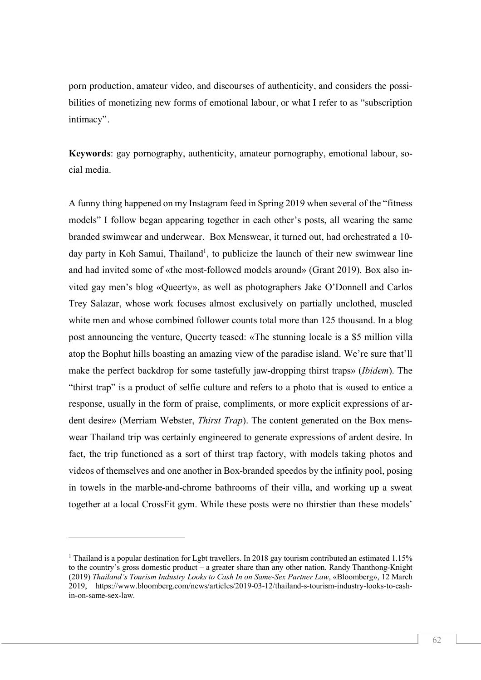porn production, amateur video, and discourses of authenticity, and considers the possibilities of monetizing new forms of emotional labour, or what I refer to as "subscription intimacy".

**Keywords**: gay pornography, authenticity, amateur pornography, emotional labour, social media.

A funny thing happened on my Instagram feed in Spring 2019 when several of the "fitness models" I follow began appearing together in each other's posts, all wearing the same branded swimwear and underwear. Box Menswear, it turned out, had orchestrated a 10 day party in Koh Samui, Thailand<sup>1</sup>, to publicize the launch of their new swimwear line and had invited some of «the most-followed models around» (Grant 2019). Box also invited gay men's blog «Queerty», as well as photographers Jake O'Donnell and Carlos Trey Salazar, whose work focuses almost exclusively on partially unclothed, muscled white men and whose combined follower counts total more than 125 thousand. In a blog post announcing the venture, Queerty teased: «The stunning locale is a \$5 million villa atop the Bophut hills boasting an amazing view of the paradise island. We're sure that'll make the perfect backdrop for some tastefully jaw-dropping thirst traps» (*Ibidem*). The "thirst trap" is a product of selfie culture and refers to a photo that is «used to entice a response, usually in the form of praise, compliments, or more explicit expressions of ardent desire» (Merriam Webster, *Thirst Trap*). The content generated on the Box menswear Thailand trip was certainly engineered to generate expressions of ardent desire. In fact, the trip functioned as a sort of thirst trap factory, with models taking photos and videos of themselves and one another in Box-branded speedos by the infinity pool, posing in towels in the marble-and-chrome bathrooms of their villa, and working up a sweat together at a local CrossFit gym. While these posts were no thirstier than these models'

<sup>&</sup>lt;sup>1</sup> Thailand is a popular destination for Lebt travellers. In 2018 gay tourism contributed an estimated 1.15% to the country's gross domestic product – a greater share than any other nation. Randy Thanthong-Knight (2019) *Thailand's Tourism Industry Looks to Cash In on Same-Sex Partner Law*, «Bloomberg», 12 March 2019, https://www.bloomberg.com/news/articles/2019-03-12/thailand-s-tourism-industry-looks-to-cashin-on-same-sex-law.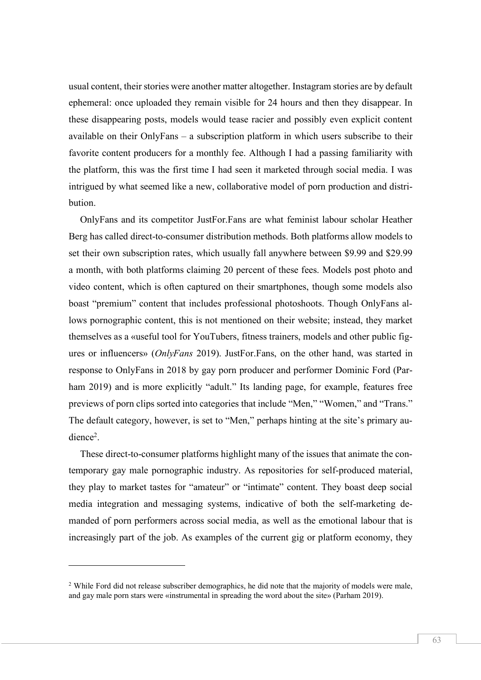usual content, their stories were another matter altogether. Instagram stories are by default ephemeral: once uploaded they remain visible for 24 hours and then they disappear. In these disappearing posts, models would tease racier and possibly even explicit content available on their OnlyFans – a subscription platform in which users subscribe to their favorite content producers for a monthly fee. Although I had a passing familiarity with the platform, this was the first time I had seen it marketed through social media. I was intrigued by what seemed like a new, collaborative model of porn production and distribution.

OnlyFans and its competitor JustFor.Fans are what feminist labour scholar Heather Berg has called direct-to-consumer distribution methods. Both platforms allow models to set their own subscription rates, which usually fall anywhere between \$9.99 and \$29.99 a month, with both platforms claiming 20 percent of these fees. Models post photo and video content, which is often captured on their smartphones, though some models also boast "premium" content that includes professional photoshoots. Though OnlyFans allows pornographic content, this is not mentioned on their website; instead, they market themselves as a «useful tool for YouTubers, fitness trainers, models and other public figures or influencers» (*OnlyFans* 2019). JustFor.Fans, on the other hand, was started in response to OnlyFans in 2018 by gay porn producer and performer Dominic Ford (Parham 2019) and is more explicitly "adult." Its landing page, for example, features free previews of porn clips sorted into categories that include "Men," "Women," and "Trans." The default category, however, is set to "Men," perhaps hinting at the site's primary audience<sup>2</sup>.

These direct-to-consumer platforms highlight many of the issues that animate the contemporary gay male pornographic industry. As repositories for self-produced material, they play to market tastes for "amateur" or "intimate" content. They boast deep social media integration and messaging systems, indicative of both the self-marketing demanded of porn performers across social media, as well as the emotional labour that is increasingly part of the job. As examples of the current gig or platform economy, they

l

<sup>&</sup>lt;sup>2</sup> While Ford did not release subscriber demographics, he did note that the majority of models were male, and gay male porn stars were «instrumental in spreading the word about the site» (Parham 2019).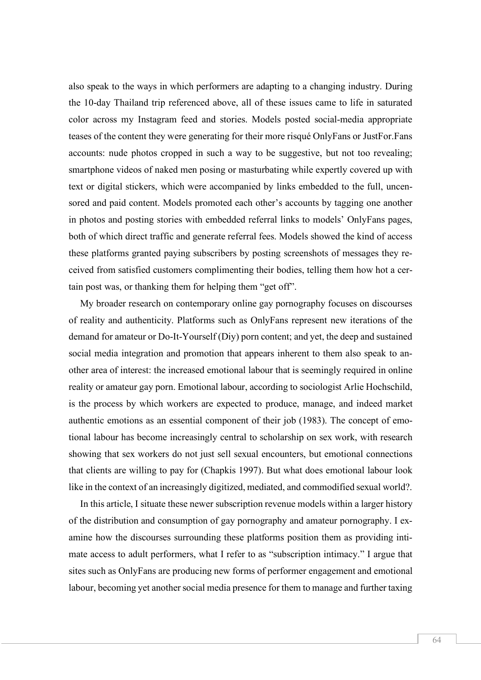also speak to the ways in which performers are adapting to a changing industry. During the 10-day Thailand trip referenced above, all of these issues came to life in saturated color across my Instagram feed and stories. Models posted social-media appropriate teases of the content they were generating for their more risqué OnlyFans or JustFor.Fans accounts: nude photos cropped in such a way to be suggestive, but not too revealing; smartphone videos of naked men posing or masturbating while expertly covered up with text or digital stickers, which were accompanied by links embedded to the full, uncensored and paid content. Models promoted each other's accounts by tagging one another in photos and posting stories with embedded referral links to models' OnlyFans pages, both of which direct traffic and generate referral fees. Models showed the kind of access these platforms granted paying subscribers by posting screenshots of messages they received from satisfied customers complimenting their bodies, telling them how hot a certain post was, or thanking them for helping them "get off".

My broader research on contemporary online gay pornography focuses on discourses of reality and authenticity. Platforms such as OnlyFans represent new iterations of the demand for amateur or Do-It-Yourself (Diy) porn content; and yet, the deep and sustained social media integration and promotion that appears inherent to them also speak to another area of interest: the increased emotional labour that is seemingly required in online reality or amateur gay porn. Emotional labour, according to sociologist Arlie Hochschild, is the process by which workers are expected to produce, manage, and indeed market authentic emotions as an essential component of their job (1983). The concept of emotional labour has become increasingly central to scholarship on sex work, with research showing that sex workers do not just sell sexual encounters, but emotional connections that clients are willing to pay for (Chapkis 1997). But what does emotional labour look like in the context of an increasingly digitized, mediated, and commodified sexual world?.

In this article, I situate these newer subscription revenue models within a larger history of the distribution and consumption of gay pornography and amateur pornography. I examine how the discourses surrounding these platforms position them as providing intimate access to adult performers, what I refer to as "subscription intimacy." I argue that sites such as OnlyFans are producing new forms of performer engagement and emotional labour, becoming yet another social media presence for them to manage and further taxing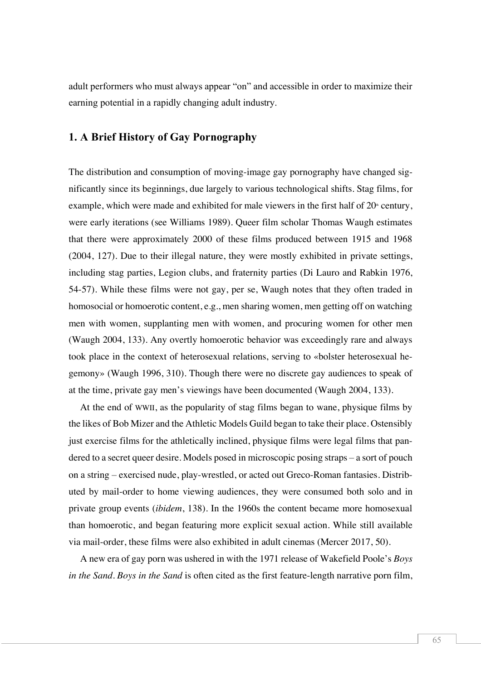adult performers who must always appear "on" and accessible in order to maximize their earning potential in a rapidly changing adult industry.

## **1. A Brief History of Gay Pornography**

The distribution and consumption of moving-image gay pornography have changed significantly since its beginnings, due largely to various technological shifts. Stag films, for example, which were made and exhibited for male viewers in the first half of  $20<sup>th</sup>$  century, were early iterations (see Williams 1989). Queer film scholar Thomas Waugh estimates that there were approximately 2000 of these films produced between 1915 and 1968 (2004, 127). Due to their illegal nature, they were mostly exhibited in private settings, including stag parties, Legion clubs, and fraternity parties (Di Lauro and Rabkin 1976, 54-57). While these films were not gay, per se, Waugh notes that they often traded in homosocial or homoerotic content, e.g., men sharing women, men getting off on watching men with women, supplanting men with women, and procuring women for other men (Waugh 2004, 133). Any overtly homoerotic behavior was exceedingly rare and always took place in the context of heterosexual relations, serving to «bolster heterosexual hegemony» (Waugh 1996, 310). Though there were no discrete gay audiences to speak of at the time, private gay men's viewings have been documented (Waugh 2004, 133).

At the end of WWII, as the popularity of stag films began to wane, physique films by the likes of Bob Mizer and the Athletic Models Guild began to take their place. Ostensibly just exercise films for the athletically inclined, physique films were legal films that pandered to a secret queer desire. Models posed in microscopic posing straps – a sort of pouch on a string – exercised nude, play-wrestled, or acted out Greco-Roman fantasies. Distributed by mail-order to home viewing audiences, they were consumed both solo and in private group events (*ibidem*, 138). In the 1960s the content became more homosexual than homoerotic, and began featuring more explicit sexual action. While still available via mail-order, these films were also exhibited in adult cinemas (Mercer 2017, 50).

A new era of gay porn was ushered in with the 1971 release of Wakefield Poole's *Boys in the Sand*. *Boys in the Sand* is often cited as the first feature-length narrative porn film,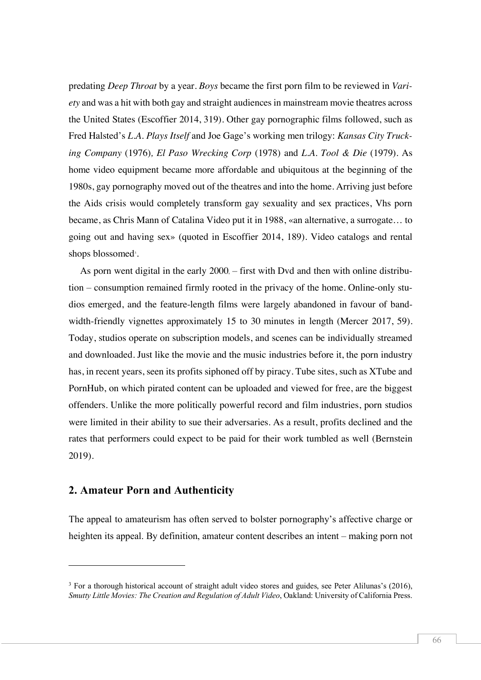predating *Deep Throat* by a year. *Boys* became the first porn film to be reviewed in *Variety* and was a hit with both gay and straight audiencesin mainstream movie theatres across the United States (Escoffier 2014, 319). Other gay pornographic films followed, such as Fred Halsted's *L.A. Plays Itself* and Joe Gage's working men trilogy: *Kansas City Trucking Company* (1976)*, El Paso Wrecking Corp* (1978) and *L.A. Tool & Die* (1979). As home video equipment became more affordable and ubiquitous at the beginning of the 1980s, gay pornography moved out of the theatres and into the home. Arriving just before the Aids crisis would completely transform gay sexuality and sex practices, Vhs porn became, as Chris Mann of Catalina Video put it in 1988, «an alternative, a surrogate… to going out and having sex» (quoted in Escoffier 2014, 189). Video catalogs and rental shops blossomed<sup>3</sup>.

As porn went digital in the early  $2000$ ,  $-$  first with Dvd and then with online distribution – consumption remained firmly rooted in the privacy of the home. Online-only studios emerged, and the feature-length films were largely abandoned in favour of bandwidth-friendly vignettes approximately 15 to 30 minutes in length (Mercer 2017, 59). Today, studios operate on subscription models, and scenes can be individually streamed and downloaded. Just like the movie and the music industries before it, the porn industry has, in recent years, seen its profits siphoned off by piracy. Tube sites, such as XTube and PornHub, on which pirated content can be uploaded and viewed for free, are the biggest offenders. Unlike the more politically powerful record and film industries, porn studios were limited in their ability to sue their adversaries. As a result, profits declined and the rates that performers could expect to be paid for their work tumbled as well (Bernstein 2019).

### **2. Amateur Porn and Authenticity**

l

The appeal to amateurism has often served to bolster pornography's affective charge or heighten its appeal. By definition, amateur content describes an intent – making porn not

<sup>&</sup>lt;sup>3</sup> For a thorough historical account of straight adult video stores and guides, see Peter Alilunas's (2016), *Smutty Little Movies: The Creation and Regulation of Adult Video*, Oakland: University of California Press.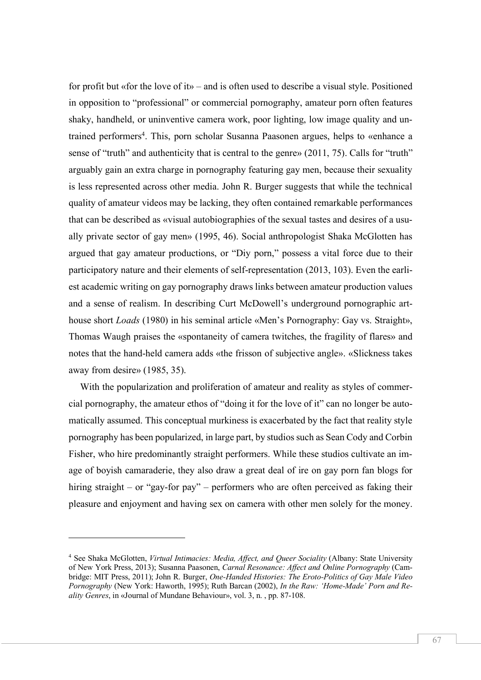for profit but «for the love of it» – and is often used to describe a visual style. Positioned in opposition to "professional" or commercial pornography, amateur porn often features shaky, handheld, or uninventive camera work, poor lighting, low image quality and untrained performers<sup>4</sup>. This, porn scholar Susanna Paasonen argues, helps to «enhance a sense of "truth" and authenticity that is central to the genre» (2011, 75). Calls for "truth" arguably gain an extra charge in pornography featuring gay men, because their sexuality is less represented across other media. John R. Burger suggests that while the technical quality of amateur videos may be lacking, they often contained remarkable performances that can be described as «visual autobiographies of the sexual tastes and desires of a usually private sector of gay men» (1995, 46). Social anthropologist Shaka McGlotten has argued that gay amateur productions, or "Diy porn," possess a vital force due to their participatory nature and their elements of self-representation (2013, 103). Even the earliest academic writing on gay pornography draws links between amateur production values and a sense of realism. In describing Curt McDowell's underground pornographic arthouse short *Loads* (1980) in his seminal article «Men's Pornography: Gay vs. Straight», Thomas Waugh praises the «spontaneity of camera twitches, the fragility of flares» and notes that the hand-held camera adds «the frisson of subjective angle». «Slickness takes away from desire» (1985, 35).

With the popularization and proliferation of amateur and reality as styles of commercial pornography, the amateur ethos of "doing it for the love of it" can no longer be automatically assumed. This conceptual murkiness is exacerbated by the fact that reality style pornography has been popularized, in large part, by studios such as Sean Cody and Corbin Fisher, who hire predominantly straight performers. While these studios cultivate an image of boyish camaraderie, they also draw a great deal of ire on gay porn fan blogs for hiring straight – or "gay-for pay" – performers who are often perceived as faking their pleasure and enjoyment and having sex on camera with other men solely for the money.

<sup>4</sup> See Shaka McGlotten, *Virtual Intimacies: Media, Affect, and Queer Sociality* (Albany: State University of New York Press, 2013); Susanna Paasonen, *Carnal Resonance: Affect and Online Pornography* (Cambridge: MIT Press, 2011); John R. Burger, *One-Handed Histories: The Eroto-Politics of Gay Male Video Pornography* (New York: Haworth, 1995); Ruth Barcan (2002), *In the Raw: 'Home-Made' Porn and Reality Genres*, in «Journal of Mundane Behaviour», vol. 3, n. , pp. 87-108.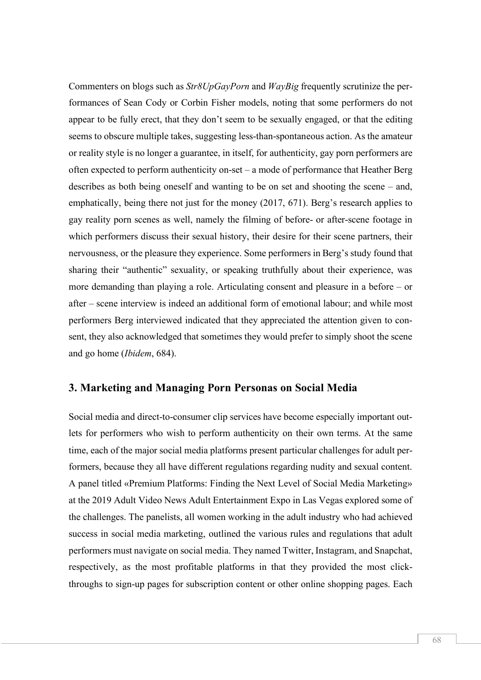Commenters on blogs such as *Str8UpGayPorn* and *WayBig* frequently scrutinize the performances of Sean Cody or Corbin Fisher models, noting that some performers do not appear to be fully erect, that they don't seem to be sexually engaged, or that the editing seems to obscure multiple takes, suggesting less-than-spontaneous action. As the amateur or reality style is no longer a guarantee, in itself, for authenticity, gay porn performers are often expected to perform authenticity on-set – a mode of performance that Heather Berg describes as both being oneself and wanting to be on set and shooting the scene – and, emphatically, being there not just for the money (2017, 671). Berg's research applies to gay reality porn scenes as well, namely the filming of before- or after-scene footage in which performers discuss their sexual history, their desire for their scene partners, their nervousness, or the pleasure they experience. Some performers in Berg's study found that sharing their "authentic" sexuality, or speaking truthfully about their experience, was more demanding than playing a role. Articulating consent and pleasure in a before – or after – scene interview is indeed an additional form of emotional labour; and while most performers Berg interviewed indicated that they appreciated the attention given to consent, they also acknowledged that sometimes they would prefer to simply shoot the scene and go home (*Ibidem*, 684).

### **3. Marketing and Managing Porn Personas on Social Media**

Social media and direct-to-consumer clip services have become especially important outlets for performers who wish to perform authenticity on their own terms. At the same time, each of the major social media platforms present particular challenges for adult performers, because they all have different regulations regarding nudity and sexual content. A panel titled «Premium Platforms: Finding the Next Level of Social Media Marketing» at the 2019 Adult Video News Adult Entertainment Expo in Las Vegas explored some of the challenges. The panelists, all women working in the adult industry who had achieved success in social media marketing, outlined the various rules and regulations that adult performers must navigate on social media. They named Twitter, Instagram, and Snapchat, respectively, as the most profitable platforms in that they provided the most clickthroughs to sign-up pages for subscription content or other online shopping pages. Each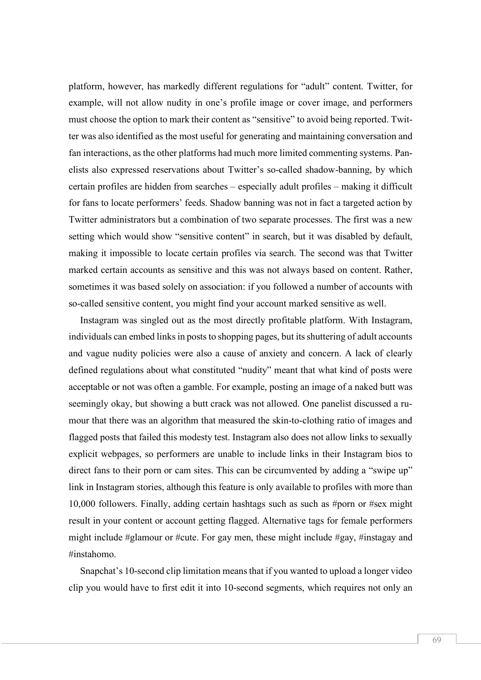platform, however, has markedly different regulations for "adult" content. Twitter, for example, will not allow nudity in one's profile image or cover image, and performers must choose the option to mark their content as "sensitive" to avoid being reported. Twitter was also identified as the most useful for generating and maintaining conversation and fan interactions, as the other platforms had much more limited commenting systems. Panelists also expressed reservations about Twitter's so-called shadow-banning, by which certain profiles are hidden from searches – especially adult profiles – making it difficult for fans to locate performers' feeds. Shadow banning was not in fact a targeted action by Twitter administrators but a combination of two separate processes. The first was a new setting which would show "sensitive content" in search, but it was disabled by default, making it impossible to locate certain profiles via search. The second was that Twitter marked certain accounts as sensitive and this was not always based on content. Rather, sometimes it was based solely on association: if you followed a number of accounts with so-called sensitive content, you might find your account marked sensitive as well.

Instagram was singled out as the most directly profitable platform. With Instagram, individuals can embed links in posts to shopping pages, but its shuttering of adult accounts and vague nudity policies were also a cause of anxiety and concern. A lack of clearly defined regulations about what constituted "nudity" meant that what kind of posts were acceptable or not was often a gamble. For example, posting an image of a naked butt was seemingly okay, but showing a butt crack was not allowed. One panelist discussed a rumour that there was an algorithm that measured the skin-to-clothing ratio of images and flagged posts that failed this modesty test. Instagram also does not allow links to sexually explicit webpages, so performers are unable to include links in their Instagram bios to direct fans to their porn or cam sites. This can be circumvented by adding a "swipe up" link in Instagram stories, although this feature is only available to profiles with more than 10,000 followers. Finally, adding certain hashtags such as such as #porn or #sex might result in your content or account getting flagged. Alternative tags for female performers might include #glamour or #cute. For gay men, these might include #gay, #instagay and #instahomo.

Snapchat's 10-second clip limitation meansthat if you wanted to upload a longer video clip you would have to first edit it into 10-second segments, which requires not only an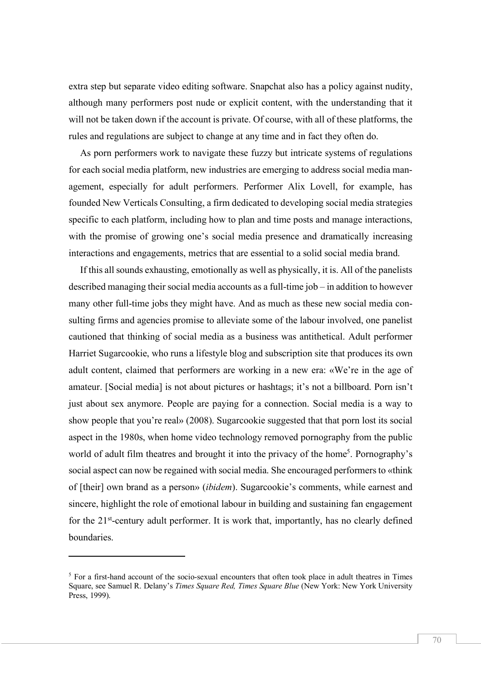extra step but separate video editing software. Snapchat also has a policy against nudity, although many performers post nude or explicit content, with the understanding that it will not be taken down if the account is private. Of course, with all of these platforms, the rules and regulations are subject to change at any time and in fact they often do.

As porn performers work to navigate these fuzzy but intricate systems of regulations for each social media platform, new industries are emerging to address social media management, especially for adult performers. Performer Alix Lovell, for example, has founded New Verticals Consulting, a firm dedicated to developing social media strategies specific to each platform, including how to plan and time posts and manage interactions, with the promise of growing one's social media presence and dramatically increasing interactions and engagements, metrics that are essential to a solid social media brand.

If this all sounds exhausting, emotionally as well as physically, it is. All of the panelists described managing their social media accounts as a full-time job – in addition to however many other full-time jobs they might have. And as much as these new social media consulting firms and agencies promise to alleviate some of the labour involved, one panelist cautioned that thinking of social media as a business was antithetical. Adult performer Harriet Sugarcookie, who runs a lifestyle blog and subscription site that produces its own adult content, claimed that performers are working in a new era: «We're in the age of amateur. [Social media] is not about pictures or hashtags; it's not a billboard. Porn isn't just about sex anymore. People are paying for a connection. Social media is a way to show people that you're real» (2008). Sugarcookie suggested that that porn lost its social aspect in the 1980s, when home video technology removed pornography from the public world of adult film theatres and brought it into the privacy of the home<sup>5</sup>. Pornography's social aspect can now be regained with social media. She encouraged performers to «think of [their] own brand as a person» (*ibidem*). Sugarcookie's comments, while earnest and sincere, highlight the role of emotional labour in building and sustaining fan engagement for the 21<sup>st</sup>-century adult performer. It is work that, importantly, has no clearly defined boundaries.

<sup>&</sup>lt;sup>5</sup> For a first-hand account of the socio-sexual encounters that often took place in adult theatres in Times Square, see Samuel R. Delany's *Times Square Red, Times Square Blue* (New York: New York University Press, 1999).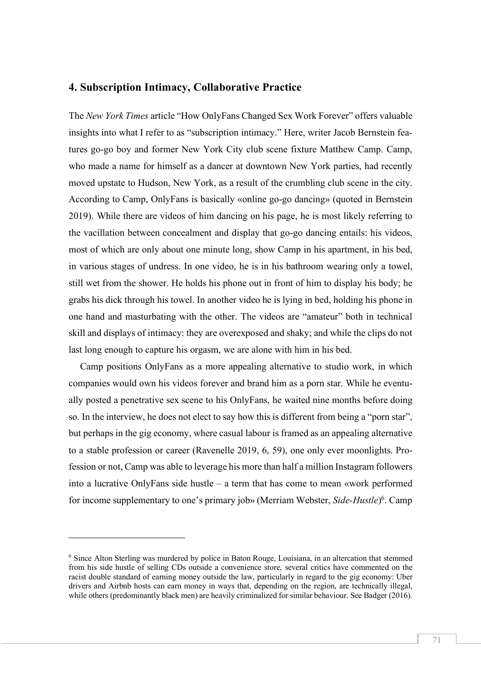#### **4. Subscription Intimacy, Collaborative Practice**

The *New York Times* article "How OnlyFans Changed Sex Work Forever" offers valuable insights into what I refer to as "subscription intimacy." Here, writer Jacob Bernstein features go-go boy and former New York City club scene fixture Matthew Camp. Camp, who made a name for himself as a dancer at downtown New York parties, had recently moved upstate to Hudson, New York, as a result of the crumbling club scene in the city. According to Camp, OnlyFans is basically «online go-go dancing» (quoted in Bernstein 2019). While there are videos of him dancing on his page, he is most likely referring to the vacillation between concealment and display that go-go dancing entails: his videos, most of which are only about one minute long, show Camp in his apartment, in his bed, in various stages of undress. In one video, he is in his bathroom wearing only a towel, still wet from the shower. He holds his phone out in front of him to display his body; he grabs his dick through his towel. In another video he is lying in bed, holding his phone in one hand and masturbating with the other. The videos are "amateur" both in technical skill and displays of intimacy: they are overexposed and shaky; and while the clips do not last long enough to capture his orgasm, we are alone with him in his bed.

Camp positions OnlyFans as a more appealing alternative to studio work, in which companies would own his videos forever and brand him as a porn star. While he eventually posted a penetrative sex scene to his OnlyFans, he waited nine months before doing so. In the interview, he does not elect to say how this is different from being a "porn star", but perhaps in the gig economy, where casual labour is framed as an appealing alternative to a stable profession or career (Ravenelle 2019, 6, 59), one only ever moonlights. Profession or not, Camp was able to leverage his more than half a million Instagram followers into a lucrative OnlyFans side hustle – a term that has come to mean «work performed for income supplementary to one's primary job» (Merriam Webster, *Side-Hustle*) 6. Camp

<sup>6</sup> Since Alton Sterling was murdered by police in Baton Rouge, Louisiana, in an altercation that stemmed from his side hustle of selling CDs outside a convenience store, several critics have commented on the racist double standard of earning money outside the law, particularly in regard to the gig economy: Uber drivers and Airbnb hosts can earn money in ways that, depending on the region, are technically illegal, while others (predominantly black men) are heavily criminalized for similar behaviour. See Badger (2016).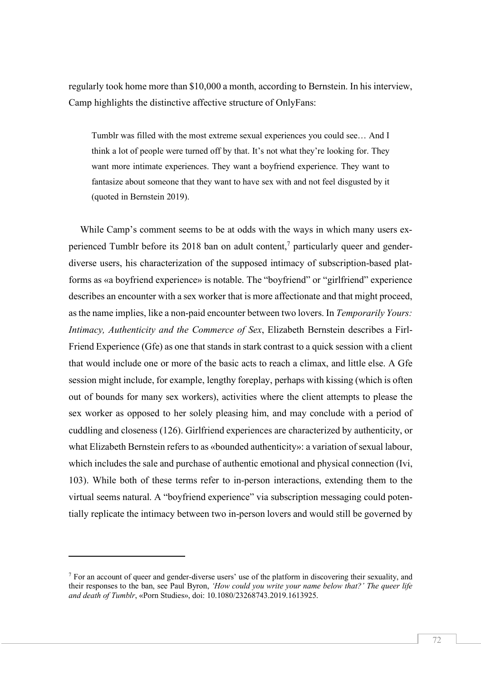regularly took home more than \$10,000 a month, according to Bernstein. In his interview, Camp highlights the distinctive affective structure of OnlyFans:

Tumblr was filled with the most extreme sexual experiences you could see… And I think a lot of people were turned off by that. It's not what they're looking for. They want more intimate experiences. They want a boyfriend experience. They want to fantasize about someone that they want to have sex with and not feel disgusted by it (quoted in Bernstein 2019).

While Camp's comment seems to be at odds with the ways in which many users experienced Tumblr before its 2018 ban on adult content,<sup>7</sup> particularly queer and genderdiverse users, his characterization of the supposed intimacy of subscription-based platforms as «a boyfriend experience» is notable. The "boyfriend" or "girlfriend" experience describes an encounter with a sex worker that is more affectionate and that might proceed, asthe name implies, like a non-paid encounter between two lovers. In *Temporarily Yours: Intimacy, Authenticity and the Commerce of Sex*, Elizabeth Bernstein describes a Firl-Friend Experience (Gfe) as one that stands in stark contrast to a quick session with a client that would include one or more of the basic acts to reach a climax, and little else. A Gfe session might include, for example, lengthy foreplay, perhaps with kissing (which is often out of bounds for many sex workers), activities where the client attempts to please the sex worker as opposed to her solely pleasing him, and may conclude with a period of cuddling and closeness (126). Girlfriend experiences are characterized by authenticity, or what Elizabeth Bernstein refersto as «bounded authenticity»: a variation of sexual labour, which includes the sale and purchase of authentic emotional and physical connection (Ivi, 103). While both of these terms refer to in-person interactions, extending them to the virtual seems natural. A "boyfriend experience" via subscription messaging could potentially replicate the intimacy between two in-person lovers and would still be governed by

<sup>7</sup> For an account of queer and gender-diverse users' use of the platform in discovering their sexuality, and their responses to the ban, see Paul Byron, *'How could you write your name below that?' The queer life and death of Tumblr*, «Porn Studies», doi: 10.1080/23268743.2019.1613925.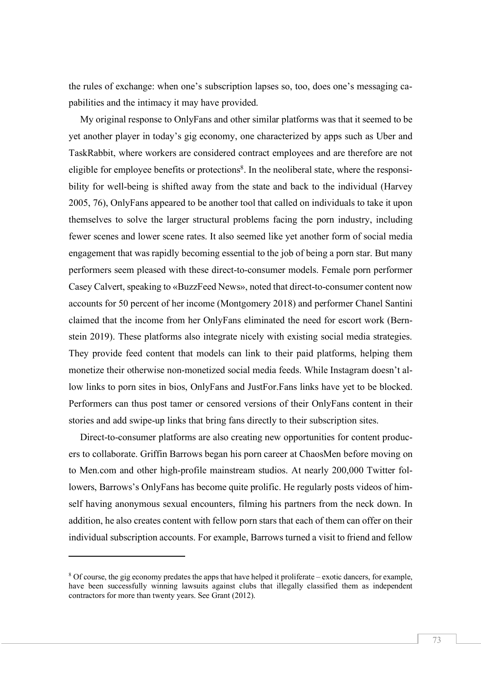the rules of exchange: when one's subscription lapses so, too, does one's messaging capabilities and the intimacy it may have provided.

My original response to OnlyFans and other similar platforms was that it seemed to be yet another player in today's gig economy, one characterized by apps such as Uber and TaskRabbit, where workers are considered contract employees and are therefore are not eligible for employee benefits or protections<sup>8</sup>. In the neoliberal state, where the responsibility for well-being is shifted away from the state and back to the individual (Harvey 2005, 76), OnlyFans appeared to be another tool that called on individuals to take it upon themselves to solve the larger structural problems facing the porn industry, including fewer scenes and lower scene rates. It also seemed like yet another form of social media engagement that was rapidly becoming essential to the job of being a porn star. But many performers seem pleased with these direct-to-consumer models. Female porn performer Casey Calvert, speaking to «BuzzFeed News», noted that direct-to-consumer content now accounts for 50 percent of her income (Montgomery 2018) and performer Chanel Santini claimed that the income from her OnlyFans eliminated the need for escort work (Bernstein 2019). These platforms also integrate nicely with existing social media strategies. They provide feed content that models can link to their paid platforms, helping them monetize their otherwise non-monetized social media feeds. While Instagram doesn't allow links to porn sites in bios, OnlyFans and JustFor.Fans links have yet to be blocked. Performers can thus post tamer or censored versions of their OnlyFans content in their stories and add swipe-up links that bring fans directly to their subscription sites.

Direct-to-consumer platforms are also creating new opportunities for content producers to collaborate. Griffin Barrows began his porn career at ChaosMen before moving on to Men.com and other high-profile mainstream studios. At nearly 200,000 Twitter followers, Barrows's OnlyFans has become quite prolific. He regularly posts videos of himself having anonymous sexual encounters, filming his partners from the neck down. In addition, he also creates content with fellow porn stars that each of them can offer on their individual subscription accounts. For example, Barrows turned a visit to friend and fellow

<sup>8</sup> Of course, the gig economy predates the apps that have helped it proliferate – exotic dancers, for example, have been successfully winning lawsuits against clubs that illegally classified them as independent contractors for more than twenty years. See Grant (2012).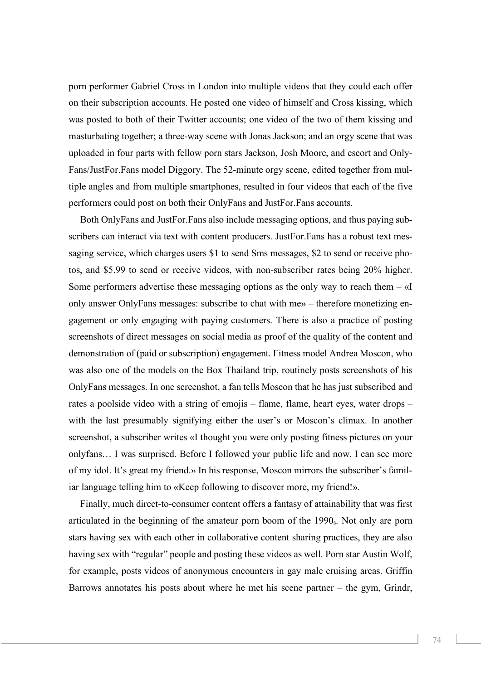porn performer Gabriel Cross in London into multiple videos that they could each offer on their subscription accounts. He posted one video of himself and Cross kissing, which was posted to both of their Twitter accounts; one video of the two of them kissing and masturbating together; a three-way scene with Jonas Jackson; and an orgy scene that was uploaded in four parts with fellow porn stars Jackson, Josh Moore, and escort and Only-Fans/JustFor.Fans model Diggory. The 52-minute orgy scene, edited together from multiple angles and from multiple smartphones, resulted in four videos that each of the five performers could post on both their OnlyFans and JustFor.Fans accounts.

Both OnlyFans and JustFor.Fans also include messaging options, and thus paying subscribers can interact via text with content producers. JustFor.Fans has a robust text messaging service, which charges users \$1 to send Sms messages, \$2 to send or receive photos, and \$5.99 to send or receive videos, with non-subscriber rates being 20% higher. Some performers advertise these messaging options as the only way to reach them  $-\alpha I$ only answer OnlyFans messages: subscribe to chat with me» – therefore monetizing engagement or only engaging with paying customers. There is also a practice of posting screenshots of direct messages on social media as proof of the quality of the content and demonstration of (paid or subscription) engagement. Fitness model Andrea Moscon, who was also one of the models on the Box Thailand trip, routinely posts screenshots of his OnlyFans messages. In one screenshot, a fan tells Moscon that he has just subscribed and rates a poolside video with a string of emojis – flame, flame, heart eyes, water drops – with the last presumably signifying either the user's or Moscon's climax. In another screenshot, a subscriber writes «I thought you were only posting fitness pictures on your onlyfans… I was surprised. Before I followed your public life and now, I can see more of my idol. It's great my friend.» In his response, Moscon mirrors the subscriber's familiar language telling him to «Keep following to discover more, my friend!».

Finally, much direct-to-consumer content offers a fantasy of attainability that was first articulated in the beginning of the amateur porn boom of the 1990s. Not only are porn stars having sex with each other in collaborative content sharing practices, they are also having sex with "regular" people and posting these videos as well. Porn star Austin Wolf, for example, posts videos of anonymous encounters in gay male cruising areas. Griffin Barrows annotates his posts about where he met his scene partner – the gym, Grindr,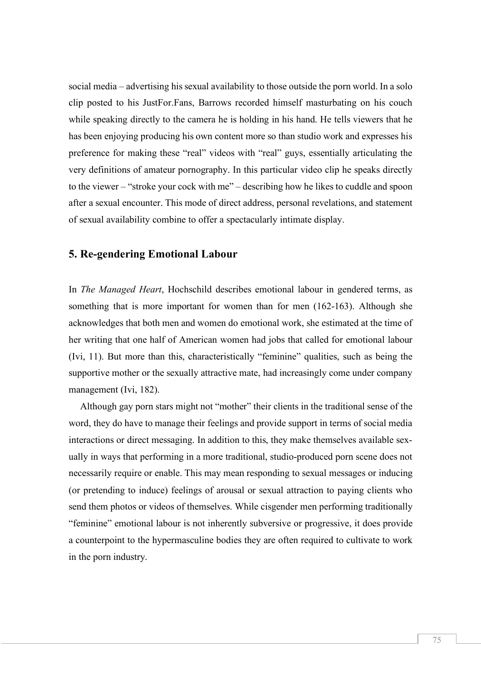social media – advertising hissexual availability to those outside the porn world. In a solo clip posted to his JustFor.Fans, Barrows recorded himself masturbating on his couch while speaking directly to the camera he is holding in his hand. He tells viewers that he has been enjoying producing his own content more so than studio work and expresses his preference for making these "real" videos with "real" guys, essentially articulating the very definitions of amateur pornography. In this particular video clip he speaks directly to the viewer – "stroke your cock with me" – describing how he likes to cuddle and spoon after a sexual encounter. This mode of direct address, personal revelations, and statement of sexual availability combine to offer a spectacularly intimate display.

#### **5. Re-gendering Emotional Labour**

In *The Managed Heart*, Hochschild describes emotional labour in gendered terms, as something that is more important for women than for men (162-163). Although she acknowledges that both men and women do emotional work, she estimated at the time of her writing that one half of American women had jobs that called for emotional labour (Ivi, 11). But more than this, characteristically "feminine" qualities, such as being the supportive mother or the sexually attractive mate, had increasingly come under company management (Ivi, 182).

Although gay porn stars might not "mother" their clients in the traditional sense of the word, they do have to manage their feelings and provide support in terms of social media interactions or direct messaging. In addition to this, they make themselves available sexually in ways that performing in a more traditional, studio-produced porn scene does not necessarily require or enable. This may mean responding to sexual messages or inducing (or pretending to induce) feelings of arousal or sexual attraction to paying clients who send them photos or videos of themselves. While cisgender men performing traditionally "feminine" emotional labour is not inherently subversive or progressive, it does provide a counterpoint to the hypermasculine bodies they are often required to cultivate to work in the porn industry.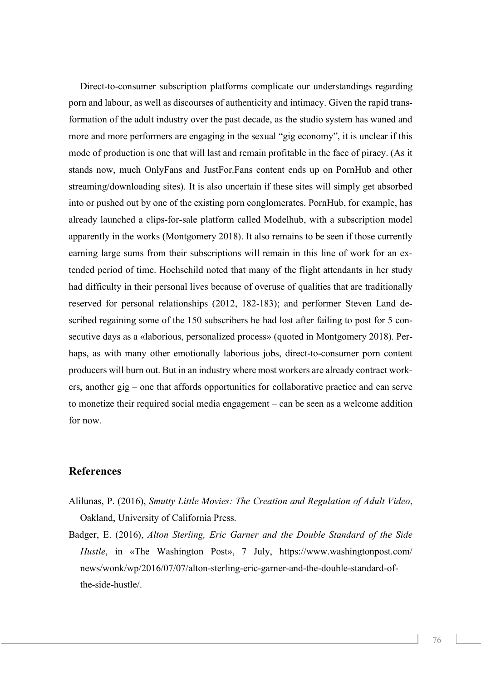Direct-to-consumer subscription platforms complicate our understandings regarding porn and labour, as well as discourses of authenticity and intimacy. Given the rapid transformation of the adult industry over the past decade, as the studio system has waned and more and more performers are engaging in the sexual "gig economy", it is unclear if this mode of production is one that will last and remain profitable in the face of piracy. (As it stands now, much OnlyFans and JustFor.Fans content ends up on PornHub and other streaming/downloading sites). It is also uncertain if these sites will simply get absorbed into or pushed out by one of the existing porn conglomerates. PornHub, for example, has already launched a clips-for-sale platform called Modelhub, with a subscription model apparently in the works (Montgomery 2018). It also remains to be seen if those currently earning large sums from their subscriptions will remain in this line of work for an extended period of time. Hochschild noted that many of the flight attendants in her study had difficulty in their personal lives because of overuse of qualities that are traditionally reserved for personal relationships (2012, 182-183); and performer Steven Land described regaining some of the 150 subscribers he had lost after failing to post for 5 consecutive days as a «laborious, personalized process» (quoted in Montgomery 2018). Perhaps, as with many other emotionally laborious jobs, direct-to-consumer porn content producers will burn out. But in an industry where most workers are already contract workers, another gig – one that affords opportunities for collaborative practice and can serve to monetize their required social media engagement – can be seen as a welcome addition for now.

#### **References**

- Alilunas, P. (2016), *Smutty Little Movies: The Creation and Regulation of Adult Video*, Oakland, University of California Press.
- Badger, E. (2016), *Alton Sterling, Eric Garner and the Double Standard of the Side Hustle*, in «The Washington Post», 7 July, https://www.washingtonpost.com/ news/wonk/wp/2016/07/07/alton-sterling-eric-garner-and-the-double-standard-ofthe-side-hustle/.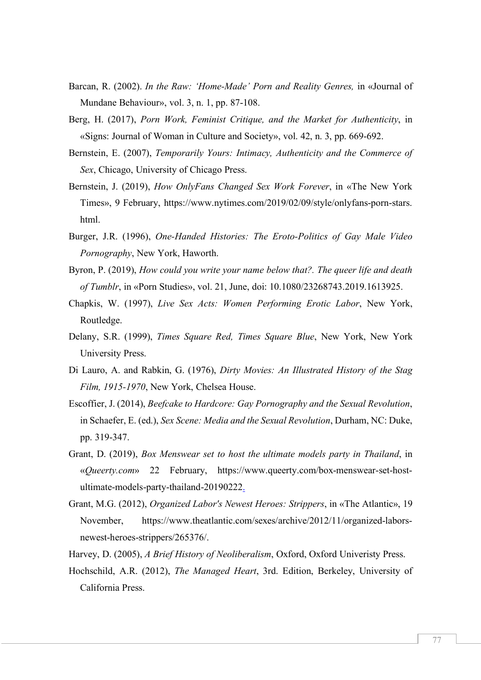- Barcan, R. (2002). *In the Raw: 'Home-Made' Porn and Reality Genres,* in «Journal of Mundane Behaviour», vol. 3, n. 1, pp. 87-108.
- Berg, H. (2017), *Porn Work, Feminist Critique, and the Market for Authenticity*, in «Signs: Journal of Woman in Culture and Society», vol. 42, n. 3, pp. 669-692.
- Bernstein, E. (2007), *Temporarily Yours: Intimacy, Authenticity and the Commerce of Sex*, Chicago, University of Chicago Press.
- Bernstein, J. (2019), *How OnlyFans Changed Sex Work Forever*, in «The New York Times», 9 February, https://www.nytimes.com/2019/02/09/style/onlyfans-porn-stars. html.
- Burger, J.R. (1996), *One-Handed Histories: The Eroto-Politics of Gay Male Video Pornography*, New York, Haworth.
- Byron, P. (2019), *How could you write your name below that?. The queer life and death of Tumblr*, in «Porn Studies», vol. 21, June, doi: 10.1080/23268743.2019.1613925.
- Chapkis, W. (1997), *Live Sex Acts: Women Performing Erotic Labor*, New York, Routledge.
- Delany, S.R. (1999), *Times Square Red, Times Square Blue*, New York, New York University Press.
- Di Lauro, A. and Rabkin, G. (1976), *Dirty Movies: An Illustrated History of the Stag Film, 1915-1970*, New York, Chelsea House.
- Escoffier, J. (2014), *Beefcake to Hardcore: Gay Pornography and the Sexual Revolution*, in Schaefer, E. (ed.), *Sex Scene: Media and the Sexual Revolution*, Durham, NC: Duke, pp. 319-347.
- Grant, D. (2019), *Box Menswear set to host the ultimate models party in Thailand*, in «*Queerty.com*» 22 February, https://www.queerty.com/box-menswear-set-hostultimate-models-party-thailand-20190222.
- Grant, M.G. (2012), *Organized Labor's Newest Heroes: Strippers*, in «The Atlantic», 19 November, https://www.theatlantic.com/sexes/archive/2012/11/organized-laborsnewest-heroes-strippers/265376/.
- Harvey, D. (2005), *A Brief History of Neoliberalism*, Oxford, Oxford Univeristy Press.
- Hochschild, A.R. (2012), *The Managed Heart*, 3rd. Edition, Berkeley, University of California Press.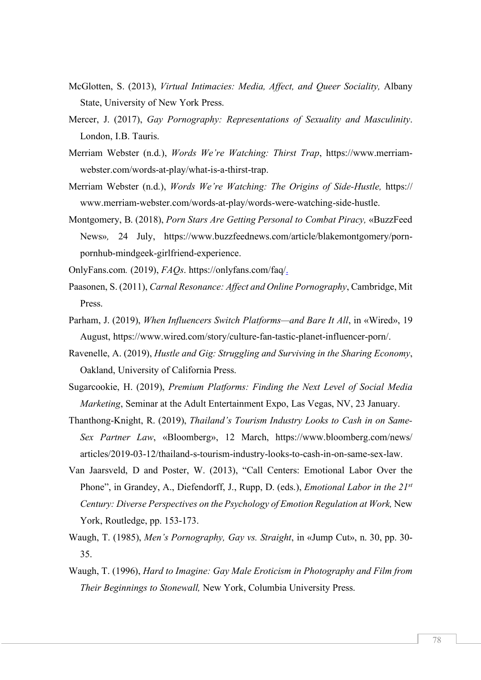- McGlotten, S. (2013), *Virtual Intimacies: Media, Affect, and Queer Sociality,* Albany State, University of New York Press.
- Mercer, J. (2017), *Gay Pornography: Representations of Sexuality and Masculinity*. London, I.B. Tauris.
- Merriam Webster (n.d.), *Words We're Watching: Thirst Trap*, https://www.merriamwebster.com/words-at-play/what-is-a-thirst-trap.
- Merriam Webster (n.d.), *Words We're Watching: The Origins of Side-Hustle,* https:// www.merriam-webster.com/words-at-play/words-were-watching-side-hustle.
- Montgomery, B. (2018), *Porn Stars Are Getting Personal to Combat Piracy,* «BuzzFeed News»*,* 24 July, https://www.buzzfeednews.com/article/blakemontgomery/pornpornhub-mindgeek-girlfriend-experience.
- OnlyFans.com*.* (2019), *FAQs*. https://onlyfans.com/faq/.
- Paasonen, S. (2011), *Carnal Resonance: Affect and Online Pornography*, Cambridge, Mit Press.
- Parham, J. (2019), *When Influencers Switch Platforms—and Bare It All*, in «Wired», 19 August, https://www.wired.com/story/culture-fan-tastic-planet-influencer-porn/.
- Ravenelle, A. (2019), *Hustle and Gig: Struggling and Surviving in the Sharing Economy*, Oakland, University of California Press.
- Sugarcookie, H. (2019), *Premium Platforms: Finding the Next Level of Social Media Marketing*, Seminar at the Adult Entertainment Expo, Las Vegas, NV, 23 January.
- Thanthong-Knight, R. (2019), *Thailand's Tourism Industry Looks to Cash in on Same-Sex Partner Law*, «Bloomberg», 12 March, https://www.bloomberg.com/news/ articles/2019-03-12/thailand-s-tourism-industry-looks-to-cash-in-on-same-sex-law.
- Van Jaarsveld, D and Poster, W. (2013), "Call Centers: Emotional Labor Over the Phone", in Grandey, A., Diefendorff, J., Rupp, D. (eds.), *Emotional Labor in the 21st Century: Diverse Perspectives on the Psychology of Emotion Regulation at Work,* New York, Routledge, pp. 153-173.
- Waugh, T. (1985), *Men's Pornography, Gay vs. Straight*, in «Jump Cut», n. 30, pp. 30- 35.
- Waugh, T. (1996), *Hard to Imagine: Gay Male Eroticism in Photography and Film from Their Beginnings to Stonewall,* New York, Columbia University Press.